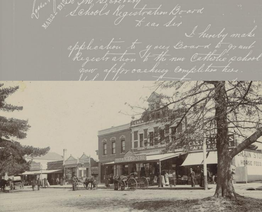SLA MUNUCHIN Schools Registration Board Lear Ser I hyeby make application to your Board to grant Registration to the new Catherlie school now after ocching completion tree. **ANTIQUE STORE** HORSE FEED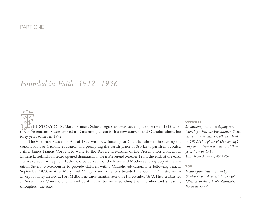# *Founded in Faith: 1912–1936*

 $H_{\text{H}}$  HE STORY OF St Mary's Primary School begins, not – as you might expect – in 1912 when three Presentation Sisters arrived in Dandenong to establish a new convent and Catholic school, but forty years earlier in 1872.

The Victorian Education Act of 1872 withdrew funding for Catholic schools, threatening the continuation of Catholic education and prompting the parish priest of St Mary's parish in St Kilda, Father James Francis Corbett, to write to the Reverend Mother of the Presentation Convent in Limerick, Ireland. His letter opened dramatically: 'Dear Reverend Mother. From the ends of the earth I write to you for help …' <sup>1</sup> Father Corbett asked that the Reverend Mother send a group of Presentation Sisters to Melbourne to provide children with a Catholic education.The following year, in September 1873, Mother Mary Paul Mulquin and six Sisters boarded the *Great Britain* steamer at Liverpool.They arrived at Port Melbourne three months later on 21 December 1873.They established a Presentation Convent and school at Windsor, before expanding their number and spreading throughout the state.

#### **OPPOSITE**

*Dandenong was a developing rural township when the Presentation Sisters arrived to establish a Catholic school in 1912.This photo of Dandenong's busy main street was taken just three years later in 1915.* Sate Library of Victoria, H90.72/60

#### **TOP**

*Extract from letter written by St Mary's parish priest, Father John Gleeson, to the Schools Registration Board in 1912.*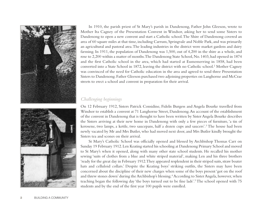



In 1910, the parish priest of St Mary's parish in Dandenong, Father John Gleeson, wrote to Mother Ita Cagney of the Presentation Convent in Windsor, asking her to send some Sisters to Dandenong to open a new convent and start a Catholic school.The Shire of Dandenong covered an area of 60 square miles at that time, including Carrum, Springvale and Noble Park, and was primarily an agricultural and pastoral area.The leading industries in the district were market gardens and dairy farming. In 1911, the population of Dandenong was 1,500, out of 4,200 in the shire as a whole, and rose to 2,200 within a matter of months.The Dandenong State School,No. 1403, had opened in 1874 and the first Catholic school in the area, which had started at Eumemerring in 1858, had been converted into a State School in 1872, leaving the district with no Catholic school. <sup>2</sup> Mother Cagney was convinced of the need for Catholic education in the area and agreed to send three Presentation Sisters to Dandenong.Father Gleeson purchased two adjoining properties on Langhorne and McCrae streets to erect a school and convent in preparation for their arrival.

## *Challenging beginnings*

On 12 February 1912, Sisters Patrick Considine, Fidelis Burgess and Angela Bourke travelled from Windsor to establish a convent at 71 Langhorne Street, Dandenong.An account of the establishment of the convent in Dandenong that is thought to have been written by Sister Angela Bourke describes the Sisters arriving at their new home in Dandenong with only a few pieces of furniture, 'a tin of kerosene, two lamps, a kettle, two saucepans, half a dozen cups and saucers'. <sup>3</sup> The house had been newly vacated by Mr and Mrs Butler, who had moved next door,and Mrs Butler kindly brought the Sisters tea and scones on their arrival.

St Mary's Catholic School was officially opened and blessed by Archbishop Thomas Carr on Sunday 19 February 1912.Len Keating started his schooling at Dandenong Primary School and moved to St Mary's when it opened, along with many other state school students. He recalled his mother sewing 'suits of clothes from a blue and white striped material', making Len and his three brothers 'ready for the great day in February 1912.They appeared resplendent in their striped suits,straw boater hats and celluloid collars.' Despite the Keating boys' striking outfits, the Sisters may have been concerned about the discipline of their new charges when some of the boys present 'got on the roof and threw stones down' during the Archbishop's blessing.<sup>4</sup> According to Sister Angela, however, when teaching began the following day 'the boys turned out to be fine lads'. <sup>5</sup> The school opened with 75 students and by the end of the first year 100 pupils were enrolled.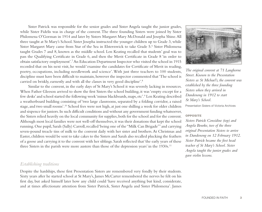Sister Patrick was responsible for the senior grades and Sister Angela taught the junior grades, while Sister Fidelis was in charge of the convent.The three founding Sisters were joined by Sister Philomena O'Gorman in 1914 and later by Sisters Margaret Mary McDonald and Josepha Shine.All three taught at St Mary's School. Sister Josepha instructed the younger children up to Grade 3, while Sister Margaret Mary came from Star of the Sea in Elsternwick to take Grade 5. <sup>6</sup> Sister Philomena taught Grades 7 and 8, known as the middle school. Len Keating recalled that students' goal was to pass the Qualifying Certificate in Grade 6, and then the Merit Certificate in Grade 8 'in order to obtain satisfactory employment'. 7An Education Department Inspector who visited the school in 1915 recorded that on his next visit, he would 'examine the candidates for Certificate of Merit in reading, poetry, occupations, including needlework and science'.With just three teachers to 100 students, discipline must have been difficult to maintain, however the inspector commented that 'The school is carried on briskly, earnestly and with all the classes in very good discipline'. 8

Similar to the convent, in the early days of St Mary's School it was severely lacking in resources. When Father Gleeson arrived to show the first Sisters the school building, it was 'empty except for a few desks'and school started the following week 'minus blackboards,maps, etc'. <sup>9</sup> Len Keating described a weatherboard building consisting of 'two large classrooms, separated by a folding corridor, a raised stage,and two small rooms'. <sup>10</sup> School fees were not high,at just one shilling a week for older children and sixpence for juniors.In such difficult conditions and without any government funding whatsoever, the Sisters relied heavily on the local community for supplies, both for the school and for the convent. Although most local families were not well-off themselves, it was their donations that kept the school running. One pupil, Sarah (Sally) Carroll, recalled 'being one of the "Milk Can Brigade"' and carrying seven-pound treacle tins of milk to the convent daily with her sister and brothers.At Christmas and Easter, children would be sent to take cakes to the Sisters and Sarah also recalled plucking the feathers of a goose and carrying it to the convent with her siblings. Sarah reflected that'the early years of these three Sisters in the parish were more austere than those of the depression years' in the 1930s.<sup>11</sup>

### *Establishing traditions*

Despite the hardships, these first Presentation Sisters are remembered very fondly by their students. Sixty years after he started school at St Mary's, James McCarter remembered the nerves he felt on his first day, but asked himself later how any child could 'have received anything but kind, considerate, and at times affectionate attention from Sister Patrick, Sister Angela and Sister Philomena'. James



*The original convent at 71 Langhorne Street. Known to the Presentation Sisters as St Michael's, the convent was established by the three founding Sisters when they arrived in Dandenong in 1912 to start St Mary's School.*

Presentation Sisters of Victoria archives

### **OPPOSITE**

*Sisters Patrick Considine (top) and Angela Bourke, two of the three original Presentation Sisters to arrive in Dandenong on 12 February 1912. Sister Patrick became the first head teacher of St Mary's School. Sister Angela taught the junior grades and gave violin lessons.*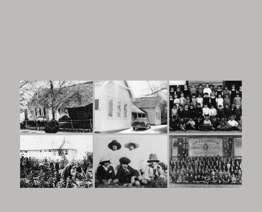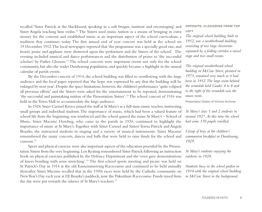recalled 'Sister Patrick at the blackboard, speaking in a soft brogue, insistent and encouraging' and Sister Angela teaching him violin. <sup>12</sup> The Sisters used music tuition as a means of bringing in extra money for the convent and established music as an important aspect of the school curriculum; a tradition that continues today. The first annual end of year concert was held at the school on 19 December 1912.The local newspaper reported that 'the programme was a specially good one,and hearty praise and applause were showered upon the performers and the Sisters of the school'. The evening included musical and dance performances and the distribution of prizes to 'the successful scholars' by Father Gleeson. <sup>13</sup> The school concerts were important events not only for the school community, but also the wider Dandenong population,and quickly became a highlight in the annual calendar of parish events.

By the December concert of 1914, the school building was filled to overflowing with the large audience and the local paper reported that 'the hope was expressed by any that the building will be enlarged by next year'. Despite the space limitations, however, the children's performance 'quite eclipsed' all previous efforts' and the Sisters were asked for the entertainment to be repeated, demonstrating 'the successful and painstaking tuition of the Presentation Sisters'. 14The school concert of 1916 was held in the Town Hall to accommodate the large audience.

In 1924, Sister Carmel Kierce joined the staff at St Mary's as a full-time music teacher, instructing small groups and individual students.The importance of music, which had been a valued feature of school life from the beginning, was reinforced and the school gained the name St Mary's – School of Music. Sister Macnise Dowling, who came to the parish in 1930, continued to highlight the importance of music at St Mary's. Together with Sister Carmel and Sisters Teresa Patrick and Angela Bourke, she instructed students in singing and a variety of musical instruments. Sister Macnise remembered the many concerts, dances and balls that were held to raise funds for the school and convent. 15

Sport and physical exercise were also important aspects of the education provided by the Presentation Sisters from the very beginning.Len Keating remembered Sister Patrick following an instruction book on physical exercises published by the Defence Department and she 'even gave demonstrations of knees bending with arms stretching'. <sup>16</sup> The first school sports meeting and picnic was held on St Patrick's Day in 1914 at the old Eumemmerring Racecourse and continued to be held annually thereafter. Sister Macnise recalled that in the 1930s races were held by the Catholic community on NewYear's Day each year at DJ Bourke's paddock, now the Pakenham Racecourse. Funds raised from the day were put towards the salaries of St Mary's teachers. 17

**OPPOSITE, CLOCKWISE FROM TOP LEFT**

*The original school building, built in 1912, was a weatherboard building consisting of two large classrooms separated by a folding corridor, a raised stage and two small rooms.*

*The original weatherboard school building in McCrae Street, pictured in 1973, remained very much as it had been in 1912.The large room behind the verandah held Grades 4 to 8 and to the right of the verandah was the music room.*

Presentation Sisters of Victoria archives

*St Mary's class 1 and 2 students in around 1927.At this time the school had some 150 pupils enrolled.*

*Group of boys at the children's communion breakfast in Dandenong, 1929.*

*St Mary's students enjoying the outdoors in 1928.*

*Students busy in the school garden in 1914 with the original school building in McCrae Street in the background.*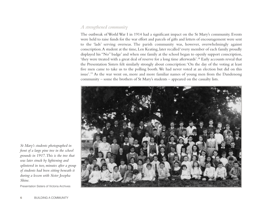### *A strengthened community*

The outbreak of World War I in 1914 had a significant impact on the St Mary's community. Events were held to raise funds for the war effort and parcels of gifts and letters of encouragement were sent to the 'lads' serving overseas. The parish community was, however, overwhelmingly against conscription.A student at the time, Len Keating, later recalled 'every member of each family proudly displayed his "No" badge'and when one family at the school began to openly support conscription, 'they were treated with a great deal of reserve for a long time afterwards'. <sup>18</sup> Early accounts reveal that the Presentation Sisters felt similarly strongly about conscription: 'On the day of the voting at least five men came to take us to the polling booth.We had never voted at an election but did on this issue'. <sup>19</sup> As the war went on, more and more familiar names of young men from the Dandenong community – some the brothers of St Mary's students – appeared on the casualty lists.



*St Mary's students photographed in front of a large pine tree in the school grounds in 1917.This is the tree that was later struck by lightening and splintered in two, minutes after a group of students had been sitting beneath it during a lesson with Sister Josepha Shine.*

Presentation Sisters of Victoria archives